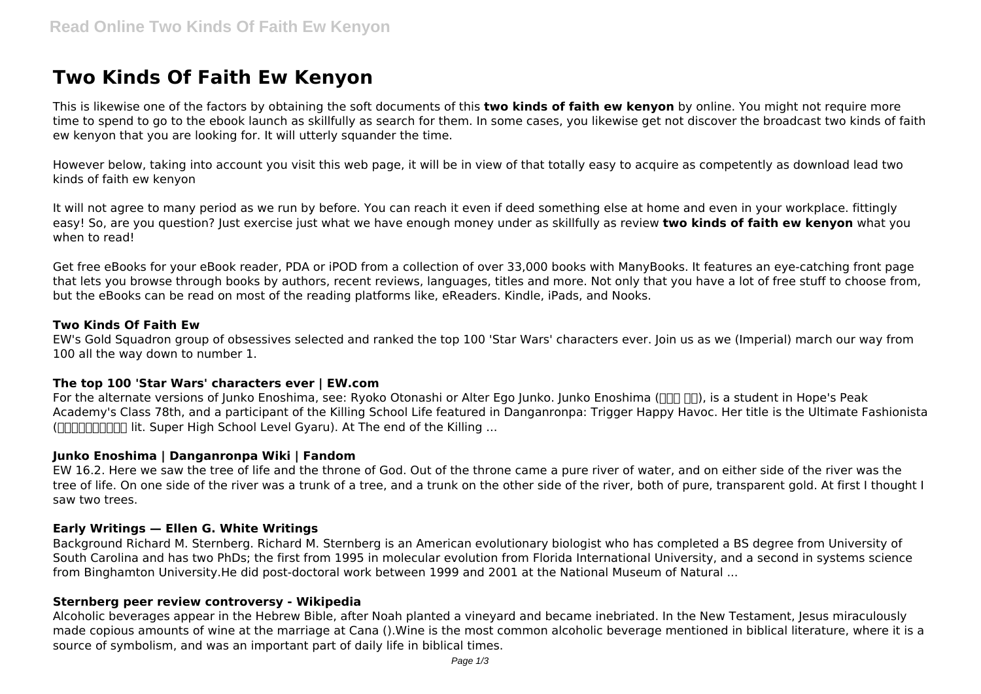# **Two Kinds Of Faith Ew Kenyon**

This is likewise one of the factors by obtaining the soft documents of this **two kinds of faith ew kenyon** by online. You might not require more time to spend to go to the ebook launch as skillfully as search for them. In some cases, you likewise get not discover the broadcast two kinds of faith ew kenyon that you are looking for. It will utterly squander the time.

However below, taking into account you visit this web page, it will be in view of that totally easy to acquire as competently as download lead two kinds of faith ew kenyon

It will not agree to many period as we run by before. You can reach it even if deed something else at home and even in your workplace. fittingly easy! So, are you question? Just exercise just what we have enough money under as skillfully as review **two kinds of faith ew kenyon** what you when to read!

Get free eBooks for your eBook reader, PDA or iPOD from a collection of over 33,000 books with ManyBooks. It features an eye-catching front page that lets you browse through books by authors, recent reviews, languages, titles and more. Not only that you have a lot of free stuff to choose from, but the eBooks can be read on most of the reading platforms like, eReaders. Kindle, iPads, and Nooks.

## **Two Kinds Of Faith Ew**

EW's Gold Squadron group of obsessives selected and ranked the top 100 'Star Wars' characters ever. Join us as we (Imperial) march our way from 100 all the way down to number 1.

## **The top 100 'Star Wars' characters ever | EW.com**

For the alternate versions of Junko Enoshima, see: Ryoko Otonashi or Alter Ego Junko. Junko Enoshima ( $\Box$  $\Box$ ), is a student in Hope's Peak Academy's Class 78th, and a participant of the Killing School Life featured in Danganronpa: Trigger Happy Havoc. Her title is the Ultimate Fashionista ( $\Box$  $\Box$  $\Box$  $\Box$  $\Box$  $\Box$  $\Box$  lit. Super High School Level Gyaru). At The end of the Killing ...

#### **Junko Enoshima | Danganronpa Wiki | Fandom**

EW 16.2. Here we saw the tree of life and the throne of God. Out of the throne came a pure river of water, and on either side of the river was the tree of life. On one side of the river was a trunk of a tree, and a trunk on the other side of the river, both of pure, transparent gold. At first I thought I saw two trees.

#### **Early Writings — Ellen G. White Writings**

Background Richard M. Sternberg. Richard M. Sternberg is an American evolutionary biologist who has completed a BS degree from University of South Carolina and has two PhDs; the first from 1995 in molecular evolution from Florida International University, and a second in systems science from Binghamton University.He did post-doctoral work between 1999 and 2001 at the National Museum of Natural ...

#### **Sternberg peer review controversy - Wikipedia**

Alcoholic beverages appear in the Hebrew Bible, after Noah planted a vineyard and became inebriated. In the New Testament, Jesus miraculously made copious amounts of wine at the marriage at Cana ().Wine is the most common alcoholic beverage mentioned in biblical literature, where it is a source of symbolism, and was an important part of daily life in biblical times.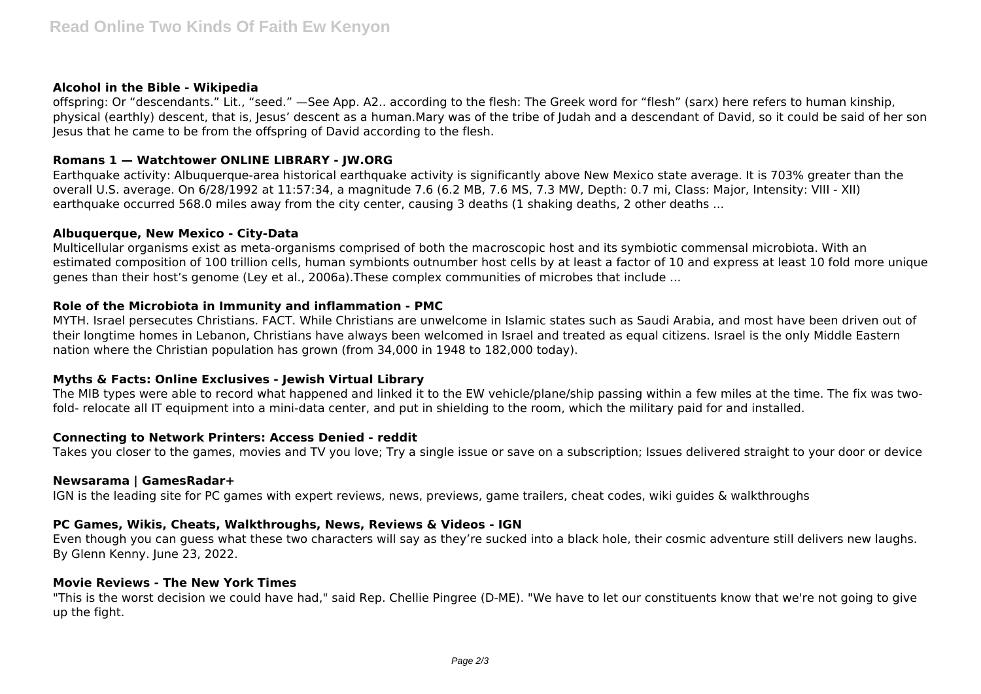#### **Alcohol in the Bible - Wikipedia**

offspring: Or "descendants." Lit., "seed." —See App. A2.. according to the flesh: The Greek word for "flesh" (sarx) here refers to human kinship, physical (earthly) descent, that is, Jesus' descent as a human.Mary was of the tribe of Judah and a descendant of David, so it could be said of her son Jesus that he came to be from the offspring of David according to the flesh.

## **Romans 1 — Watchtower ONLINE LIBRARY - JW.ORG**

Earthquake activity: Albuquerque-area historical earthquake activity is significantly above New Mexico state average. It is 703% greater than the overall U.S. average. On 6/28/1992 at 11:57:34, a magnitude 7.6 (6.2 MB, 7.6 MS, 7.3 MW, Depth: 0.7 mi, Class: Major, Intensity: VIII - XII) earthquake occurred 568.0 miles away from the city center, causing 3 deaths (1 shaking deaths, 2 other deaths ...

## **Albuquerque, New Mexico - City-Data**

Multicellular organisms exist as meta-organisms comprised of both the macroscopic host and its symbiotic commensal microbiota. With an estimated composition of 100 trillion cells, human symbionts outnumber host cells by at least a factor of 10 and express at least 10 fold more unique genes than their host's genome (Ley et al., 2006a).These complex communities of microbes that include ...

## **Role of the Microbiota in Immunity and inflammation - PMC**

MYTH. Israel persecutes Christians. FACT. While Christians are unwelcome in Islamic states such as Saudi Arabia, and most have been driven out of their longtime homes in Lebanon, Christians have always been welcomed in Israel and treated as equal citizens. Israel is the only Middle Eastern nation where the Christian population has grown (from 34,000 in 1948 to 182,000 today).

## **Myths & Facts: Online Exclusives - Jewish Virtual Library**

The MIB types were able to record what happened and linked it to the EW vehicle/plane/ship passing within a few miles at the time. The fix was twofold- relocate all IT equipment into a mini-data center, and put in shielding to the room, which the military paid for and installed.

## **Connecting to Network Printers: Access Denied - reddit**

Takes you closer to the games, movies and TV you love; Try a single issue or save on a subscription; Issues delivered straight to your door or device

## **Newsarama | GamesRadar+**

IGN is the leading site for PC games with expert reviews, news, previews, game trailers, cheat codes, wiki guides & walkthroughs

## **PC Games, Wikis, Cheats, Walkthroughs, News, Reviews & Videos - IGN**

Even though you can guess what these two characters will say as they're sucked into a black hole, their cosmic adventure still delivers new laughs. By Glenn Kenny. June 23, 2022.

#### **Movie Reviews - The New York Times**

"This is the worst decision we could have had," said Rep. Chellie Pingree (D-ME). "We have to let our constituents know that we're not going to give up the fight.